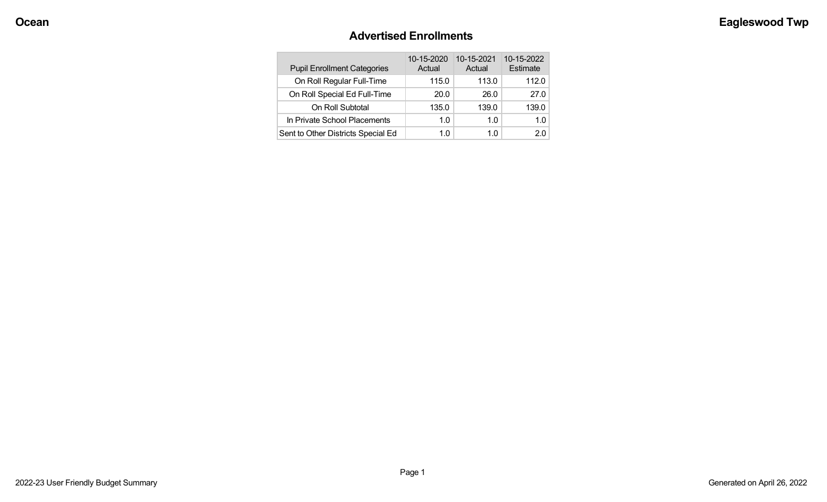## **Advertised Enrollments**

| <b>Pupil Enrollment Categories</b> | 10-15-2020<br>Actual | 10-15-2021<br>Actual | 10-15-2022<br>Estimate |
|------------------------------------|----------------------|----------------------|------------------------|
| On Roll Regular Full-Time          | 115.0                | 113.0                | 112.0                  |
| On Roll Special Ed Full-Time       | 20.0                 | 26.0                 | 27.0                   |
| On Roll Subtotal                   | 135.0                | 139.0                | 139.0                  |
| In Private School Placements       | 1.0                  | 1.0                  | 1.0                    |
| Sent to Other Districts Special Ed | 1.0                  | 1.0                  | 20                     |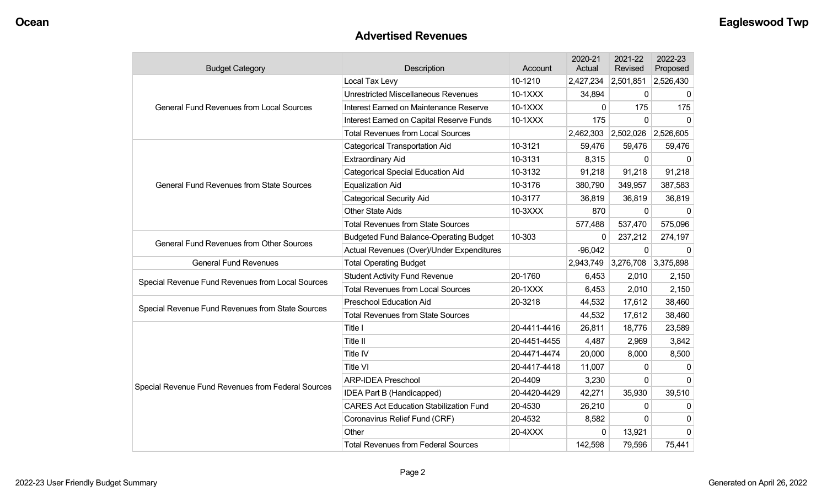### **Advertised Revenues**

| <b>Budget Category</b>                             | Description                                   | Account      | 2020-21<br>Actual | 2021-22<br>Revised  | 2022-23<br>Proposed |
|----------------------------------------------------|-----------------------------------------------|--------------|-------------------|---------------------|---------------------|
|                                                    | Local Tax Levy                                | 10-1210      | 2,427,234         | 2,501,851           | 2,526,430           |
|                                                    | <b>Unrestricted Miscellaneous Revenues</b>    | 10-1XXX      | 34,894            | 0                   | $\mathbf{0}$        |
| <b>General Fund Revenues from Local Sources</b>    | Interest Earned on Maintenance Reserve        | 10-1XXX      | 0                 | 175                 | 175                 |
|                                                    | Interest Earned on Capital Reserve Funds      | 10-1XXX      | 175               | $\mathbf 0$         | $\Omega$            |
|                                                    | <b>Total Revenues from Local Sources</b>      |              | 2,462,303         | 2,502,026 2,526,605 |                     |
|                                                    | <b>Categorical Transportation Aid</b>         | 10-3121      | 59,476            | 59,476              | 59,476              |
|                                                    | <b>Extraordinary Aid</b>                      | 10-3131      | 8,315             | $\mathbf{0}$        | $\Omega$            |
|                                                    | <b>Categorical Special Education Aid</b>      | 10-3132      | 91,218            | 91,218              | 91,218              |
| <b>General Fund Revenues from State Sources</b>    | <b>Equalization Aid</b>                       | 10-3176      | 380,790           | 349,957             | 387,583             |
|                                                    | <b>Categorical Security Aid</b>               | 10-3177      | 36,819            | 36,819              | 36,819              |
|                                                    | <b>Other State Aids</b>                       | 10-3XXX      | 870               | 0                   | $\mathbf{0}$        |
|                                                    | <b>Total Revenues from State Sources</b>      |              | 577,488           | 537,470             | 575,096             |
| <b>General Fund Revenues from Other Sources</b>    | <b>Budgeted Fund Balance-Operating Budget</b> | 10-303       | $\Omega$          | 237,212             | 274,197             |
|                                                    | Actual Revenues (Over)/Under Expenditures     |              | $-96,042$         | $\mathbf{0}$        | $\Omega$            |
| <b>General Fund Revenues</b>                       | <b>Total Operating Budget</b>                 |              | 2,943,749         | 3,276,708           | 3,375,898           |
|                                                    | <b>Student Activity Fund Revenue</b>          | 20-1760      | 6,453             | 2,010               | 2,150               |
| Special Revenue Fund Revenues from Local Sources   | <b>Total Revenues from Local Sources</b>      | 20-1XXX      | 6,453             | 2,010               | 2,150               |
| Special Revenue Fund Revenues from State Sources   | <b>Preschool Education Aid</b>                | 20-3218      | 44,532            | 17,612              | 38,460              |
|                                                    | <b>Total Revenues from State Sources</b>      |              | 44,532            | 17,612              | 38,460              |
|                                                    | Title I                                       | 20-4411-4416 | 26,811            | 18,776              | 23,589              |
|                                                    | Title II                                      | 20-4451-4455 | 4,487             | 2,969               | 3,842               |
|                                                    | Title IV                                      | 20-4471-4474 | 20,000            | 8,000               | 8,500               |
|                                                    | <b>Title VI</b>                               | 20-4417-4418 | 11,007            | $\mathbf{0}$        | $\mathbf{0}$        |
|                                                    | <b>ARP-IDEA Preschool</b>                     | 20-4409      | 3,230             | $\Omega$            | $\Omega$            |
| Special Revenue Fund Revenues from Federal Sources | IDEA Part B (Handicapped)                     | 20-4420-4429 | 42,271            | 35,930              | 39,510              |
|                                                    | <b>CARES Act Education Stabilization Fund</b> | 20-4530      | 26,210            | $\mathbf 0$         | $\mathbf{0}$        |
|                                                    | Coronavirus Relief Fund (CRF)                 | 20-4532      | 8,582             | $\Omega$            | $\mathbf{0}$        |
|                                                    | Other                                         | 20-4XXX      | $\Omega$          | 13,921              | $\Omega$            |
|                                                    | <b>Total Revenues from Federal Sources</b>    |              | 142,598           | 79,596              | 75,441              |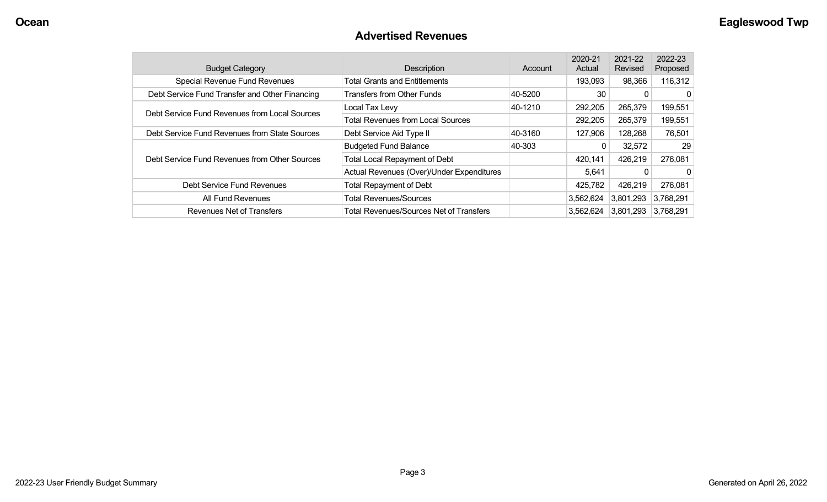#### **Advertised Revenues**

| <b>Budget Category</b>                         | <b>Description</b>                             | Account | 2020-21<br>Actual | 2021-22<br>Revised | 2022-23<br>Proposed |
|------------------------------------------------|------------------------------------------------|---------|-------------------|--------------------|---------------------|
| <b>Special Revenue Fund Revenues</b>           | <b>Total Grants and Entitlements</b>           |         | 193,093           | 98,366             | 116,312             |
| Debt Service Fund Transfer and Other Financing | <b>Transfers from Other Funds</b>              | 40-5200 | 30                |                    | 0                   |
| Debt Service Fund Revenues from Local Sources  | Local Tax Levy                                 | 40-1210 | 292,205           | 265,379            | 199,551             |
|                                                | <b>Total Revenues from Local Sources</b>       |         | 292,205           | 265,379            | 199,551             |
| Debt Service Fund Revenues from State Sources  | Debt Service Aid Type II                       | 40-3160 | 127,906           | 128,268            | 76,501              |
|                                                | <b>Budgeted Fund Balance</b>                   | 40-303  | 0                 | 32,572             | 29                  |
| Debt Service Fund Revenues from Other Sources  | <b>Total Local Repayment of Debt</b>           |         | 420,141           | 426,219            | 276,081             |
|                                                | Actual Revenues (Over)/Under Expenditures      |         | 5,641             |                    | $\Omega$            |
| Debt Service Fund Revenues                     | Total Repayment of Debt                        |         | 425,782           | 426,219            | 276,081             |
| All Fund Revenues                              | <b>Total Revenues/Sources</b>                  |         | 3,562,624         | 3,801,293          | 3,768,291           |
| Revenues Net of Transfers                      | <b>Total Revenues/Sources Net of Transfers</b> |         | 3,562,624         | 3,801,293          | 3,768,291           |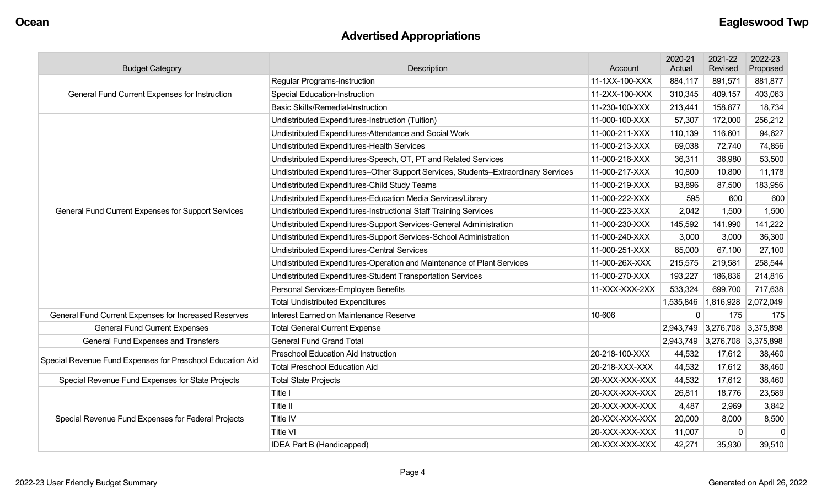# **Advertised Appropriations**

| <b>Budget Category</b>                                    | Description                                                                        | Account        | 2020-21<br>Actual | 2021-22<br>Revised  | 2022-23<br>Proposed |
|-----------------------------------------------------------|------------------------------------------------------------------------------------|----------------|-------------------|---------------------|---------------------|
|                                                           | Regular Programs-Instruction                                                       | 11-1XX-100-XXX | 884,117           | 891,571             | 881,877             |
| General Fund Current Expenses for Instruction             | <b>Special Education-Instruction</b>                                               | 11-2XX-100-XXX | 310,345           | 409,157             | 403,063             |
|                                                           | Basic Skills/Remedial-Instruction                                                  | 11-230-100-XXX | 213,441           | 158,877             | 18,734              |
|                                                           | Undistributed Expenditures-Instruction (Tuition)                                   | 11-000-100-XXX | 57,307            | 172,000             | 256,212             |
|                                                           | Undistributed Expenditures-Attendance and Social Work                              | 11-000-211-XXX | 110,139           | 116,601             | 94,627              |
|                                                           | Undistributed Expenditures-Health Services                                         | 11-000-213-XXX | 69,038            | 72,740              | 74,856              |
|                                                           | Undistributed Expenditures-Speech, OT, PT and Related Services                     | 11-000-216-XXX | 36,311            | 36,980              | 53,500              |
|                                                           | Undistributed Expenditures-Other Support Services, Students-Extraordinary Services | 11-000-217-XXX | 10,800            | 10,800              | 11,178              |
|                                                           | Undistributed Expenditures-Child Study Teams                                       | 11-000-219-XXX | 93,896            | 87,500              | 183,956             |
|                                                           | Undistributed Expenditures-Education Media Services/Library                        | 11-000-222-XXX | 595               | 600                 | 600                 |
| General Fund Current Expenses for Support Services        | Undistributed Expenditures-Instructional Staff Training Services                   | 11-000-223-XXX | 2,042             | 1,500               | 1,500               |
|                                                           | Undistributed Expenditures-Support Services-General Administration                 | 11-000-230-XXX | 145,592           | 141,990             | 141,222             |
|                                                           | Undistributed Expenditures-Support Services-School Administration                  | 11-000-240-XXX | 3,000             | 3,000               | 36,300              |
|                                                           | Undistributed Expenditures-Central Services                                        | 11-000-251-XXX | 65,000            | 67,100              | 27,100              |
|                                                           | Undistributed Expenditures-Operation and Maintenance of Plant Services             | 11-000-26X-XXX | 215,575           | 219,581             | 258,544             |
|                                                           | Undistributed Expenditures-Student Transportation Services                         | 11-000-270-XXX | 193,227           | 186,836             | 214,816             |
|                                                           | Personal Services-Employee Benefits                                                | 11-XXX-XXX-2XX | 533,324           | 699,700             | 717,638             |
|                                                           | <b>Total Undistributed Expenditures</b>                                            |                | 1,535,846         | 1,816,928 2,072,049 |                     |
| General Fund Current Expenses for Increased Reserves      | Interest Earned on Maintenance Reserve                                             | 10-606         | 0                 | 175                 | 175                 |
| <b>General Fund Current Expenses</b>                      | <b>Total General Current Expense</b>                                               |                | 2,943,749         | 3,276,708 3,375,898 |                     |
| General Fund Expenses and Transfers                       | <b>General Fund Grand Total</b>                                                    |                | 2,943,749         | 3,276,708 3,375,898 |                     |
| Special Revenue Fund Expenses for Preschool Education Aid | <b>Preschool Education Aid Instruction</b>                                         | 20-218-100-XXX | 44,532            | 17,612              | 38,460              |
|                                                           | <b>Total Preschool Education Aid</b>                                               | 20-218-XXX-XXX | 44,532            | 17,612              | 38,460              |
| Special Revenue Fund Expenses for State Projects          | <b>Total State Projects</b>                                                        | 20-XXX-XXX-XXX | 44,532            | 17,612              | 38,460              |
|                                                           | Title I                                                                            | 20-XXX-XXX-XXX | 26,811            | 18,776              | 23,589              |
|                                                           | Title II                                                                           | 20-XXX-XXX-XXX | 4,487             | 2,969               | 3,842               |
| Special Revenue Fund Expenses for Federal Projects        | Title IV                                                                           | 20-XXX-XXX-XXX | 20,000            | 8,000               | 8,500               |
|                                                           | Title VI                                                                           | 20-XXX-XXX-XXX | 11,007            | $\mathbf 0$         | $\mathbf 0$         |
|                                                           | <b>IDEA Part B (Handicapped)</b>                                                   | 20-XXX-XXX-XXX | 42,271            | 35,930              | 39,510              |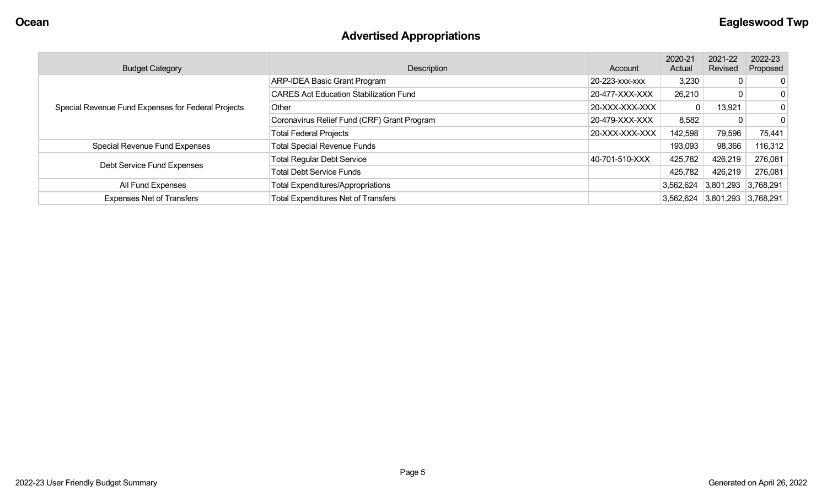# **Advertised Appropriations**

| <b>Budget Category</b>                             | Description                                   | Account        | 2020-21<br>Actual | 2021-22<br>Revised  | 2022-23<br>Proposed |
|----------------------------------------------------|-----------------------------------------------|----------------|-------------------|---------------------|---------------------|
|                                                    | <b>ARP-IDEA Basic Grant Program</b>           | 20-223-XXX-XXX | 3,230             | $\mathbf 0$         | $\mathbf 0$         |
|                                                    | <b>CARES Act Education Stabilization Fund</b> | 20-477-XXX-XXX | 26,210            | 0                   | 0                   |
| Special Revenue Fund Expenses for Federal Projects | Other                                         | 20-XXX-XXX-XXX |                   | 13,921              | 0                   |
|                                                    | Coronavirus Relief Fund (CRF) Grant Program   | 20-479-XXX-XXX | 8,582             | 0                   | $\mathbf{0}$        |
|                                                    | <b>Total Federal Projects</b>                 | 20-XXX-XXX-XXX | 142,598           | 79,596              | 75,441              |
| Special Revenue Fund Expenses                      | <b>Total Special Revenue Funds</b>            |                | 193,093           | 98,366              | 116,312             |
|                                                    | <b>Total Regular Debt Service</b>             | 40-701-510-XXX | 425,782           | 426,219             | 276,081             |
| Debt Service Fund Expenses                         | <b>Total Debt Service Funds</b>               |                | 425,782           | 426,219             | 276,081             |
| All Fund Expenses                                  | <b>Total Expenditures/Appropriations</b>      |                | 3,562,624         | 3,801,293           | 3,768,291           |
| <b>Expenses Net of Transfers</b>                   | <b>Total Expenditures Net of Transfers</b>    |                | 3,562,624         | 3,801,293 3,768,291 |                     |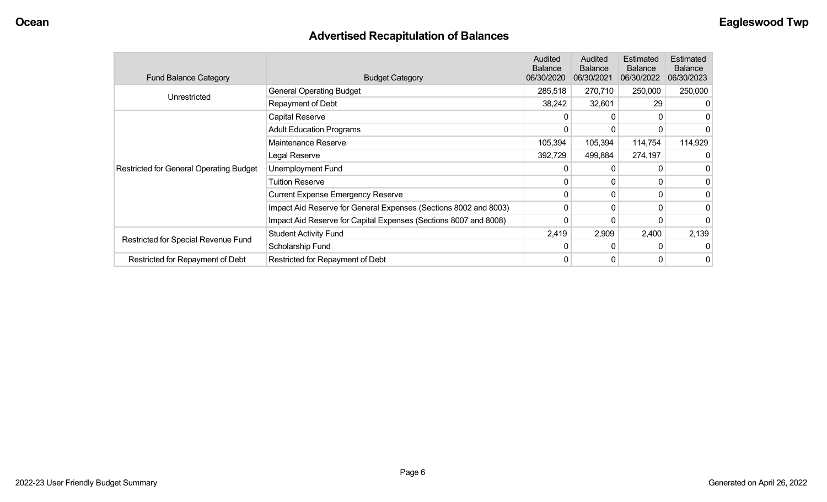# **Advertised Recapitulation of Balances**

| <b>Fund Balance Category</b>                   | <b>Budget Category</b>                                           | <b>Audited</b><br><b>Balance</b><br>06/30/2020 | Audited<br><b>Balance</b><br>06/30/2021 | Estimated<br><b>Balance</b><br>06/30/2022 | Estimated<br><b>Balance</b><br>06/30/2023 |
|------------------------------------------------|------------------------------------------------------------------|------------------------------------------------|-----------------------------------------|-------------------------------------------|-------------------------------------------|
| Unrestricted                                   | <b>General Operating Budget</b>                                  | 285,518                                        | 270,710                                 | 250,000                                   | 250,000                                   |
|                                                | Repayment of Debt                                                | 38,242                                         | 32,601                                  | 29                                        | O                                         |
|                                                | Capital Reserve                                                  |                                                |                                         |                                           | 0                                         |
|                                                | <b>Adult Education Programs</b>                                  | 0                                              |                                         |                                           | 0                                         |
|                                                | Maintenance Reserve                                              | 105,394                                        | 105,394                                 | 114,754                                   | 114,929                                   |
|                                                | Legal Reserve                                                    | 392,729                                        | 499,884                                 | 274,197                                   |                                           |
| <b>Restricted for General Operating Budget</b> | Unemployment Fund                                                | 0                                              |                                         |                                           | 0                                         |
|                                                | <b>Tuition Reserve</b>                                           | 0                                              | 0                                       |                                           |                                           |
|                                                | <b>Current Expense Emergency Reserve</b>                         | 0                                              | $\mathbf 0$                             | 0                                         | 0                                         |
|                                                | Impact Aid Reserve for General Expenses (Sections 8002 and 8003) | 0                                              | $\Omega$                                | $\Omega$                                  | 0                                         |
|                                                | Impact Aid Reserve for Capital Expenses (Sections 8007 and 8008) | 0                                              |                                         |                                           | 0                                         |
|                                                | <b>Student Activity Fund</b>                                     | 2,419                                          | 2,909                                   | 2,400                                     | 2,139                                     |
| Restricted for Special Revenue Fund            | Scholarship Fund                                                 | 0                                              | $\Omega$                                | 0                                         | 0                                         |
| Restricted for Repayment of Debt               | Restricted for Repayment of Debt                                 | 0                                              | 0                                       | 0                                         | 0                                         |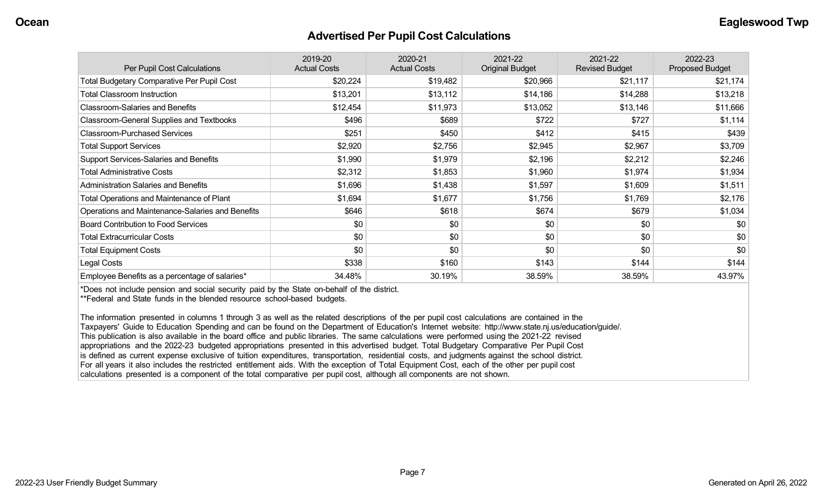#### **Advertised Per Pupil Cost Calculations**

| Per Pupil Cost Calculations                       | 2019-20<br><b>Actual Costs</b> | 2020-21<br><b>Actual Costs</b> | 2021-22<br><b>Original Budget</b> | 2021-22<br><b>Revised Budget</b> | 2022-23<br><b>Proposed Budget</b> |
|---------------------------------------------------|--------------------------------|--------------------------------|-----------------------------------|----------------------------------|-----------------------------------|
| <b>Total Budgetary Comparative Per Pupil Cost</b> | \$20,224                       | \$19,482                       | \$20,966                          | \$21,117                         | \$21,174                          |
| <b>Total Classroom Instruction</b>                | \$13,201                       | \$13,112                       | \$14,186                          | \$14,288                         | \$13,218                          |
| <b>Classroom-Salaries and Benefits</b>            | \$12,454                       | \$11,973                       | \$13,052                          | \$13,146                         | \$11,666                          |
| Classroom-General Supplies and Textbooks          | \$496                          | \$689                          | \$722                             | \$727                            | \$1,114                           |
| <b>Classroom-Purchased Services</b>               | \$251                          | \$450                          | \$412                             | \$415                            | \$439                             |
| <b>Total Support Services</b>                     | \$2,920                        | \$2,756                        | \$2,945                           | \$2,967                          | \$3,709                           |
| Support Services-Salaries and Benefits            | \$1,990                        | \$1,979                        | \$2,196                           | \$2,212                          | \$2,246                           |
| <b>Total Administrative Costs</b>                 | \$2,312                        | \$1,853                        | \$1,960                           | \$1,974                          | \$1,934                           |
| <b>Administration Salaries and Benefits</b>       | \$1,696                        | \$1,438                        | \$1,597                           | \$1,609                          | \$1,511                           |
| Total Operations and Maintenance of Plant         | \$1,694                        | \$1,677                        | \$1,756                           | \$1,769                          | \$2,176                           |
| Operations and Maintenance-Salaries and Benefits  | \$646                          | \$618                          | \$674                             | \$679                            | \$1,034                           |
| <b>Board Contribution to Food Services</b>        | \$0                            | \$0                            | \$0                               | \$0                              | \$0                               |
| <b>Total Extracurricular Costs</b>                | \$0                            | \$0                            | \$0                               | \$0                              | \$0                               |
| <b>Total Equipment Costs</b>                      | \$0                            | \$0                            | \$0                               | \$0                              | \$0                               |
| Legal Costs                                       | \$338                          | \$160                          | \$143                             | \$144                            | \$144                             |
| Employee Benefits as a percentage of salaries*    | 34.48%                         | 30.19%                         | 38.59%                            | 38.59%                           | 43.97%                            |

\*Does not include pension and social security paid by the State on-behalf of the district.

\*\*Federal and State funds in the blended resource school-based budgets.

The information presented in columns 1 through 3 as well as the related descriptions of the per pupil cost calculations are contained in the Taxpayers' Guide to Education Spending and can be found on the Department of Education's Internet website: http://www.state.nj.us/education/guide/. This publication is also available in the board office and public libraries. The same calculations were performed using the 2021-22 revised appropriations and the 2022-23 budgeted appropriations presented in this advertised budget. Total Budgetary Comparative Per Pupil Cost is defined as current expense exclusive of tuition expenditures, transportation, residential costs, and judgments against the school district. For all years it also includes the restricted entitlement aids. With the exception of Total Equipment Cost, each of the other per pupil cost calculations presented is a component of the total comparative per pupil cost, although all components are not shown.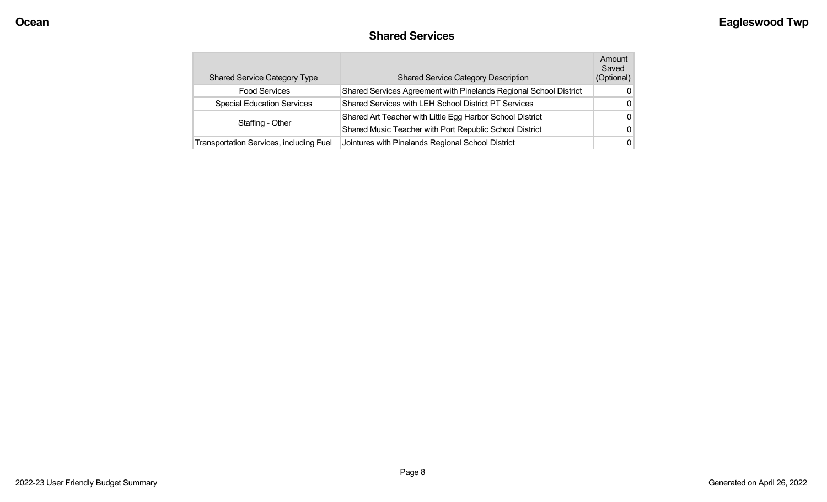## **Shared Services**

| <b>Shared Service Category Type</b>            | <b>Shared Service Category Description</b>                        | Amount<br>Saved<br>(Optional) |
|------------------------------------------------|-------------------------------------------------------------------|-------------------------------|
| <b>Food Services</b>                           | Shared Services Agreement with Pinelands Regional School District | 0                             |
| <b>Special Education Services</b>              | Shared Services with LEH School District PT Services              | 0                             |
|                                                | Shared Art Teacher with Little Egg Harbor School District         | 0                             |
| Staffing - Other                               | Shared Music Teacher with Port Republic School District           | n                             |
| <b>Transportation Services, including Fuel</b> | Jointures with Pinelands Regional School District                 | 0                             |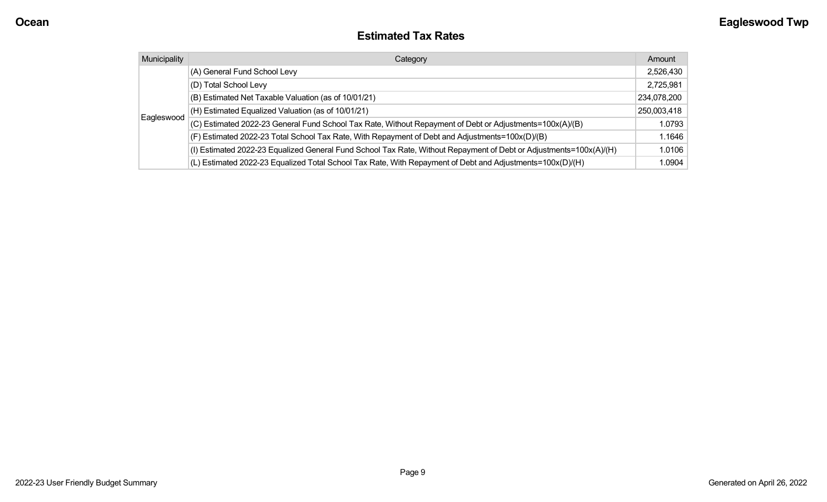## **Estimated Tax Rates**

| Municipality | Category                                                                                                           | Amount      |
|--------------|--------------------------------------------------------------------------------------------------------------------|-------------|
| Eagleswood   | (A) General Fund School Levy                                                                                       | 2,526,430   |
|              | (D) Total School Levy                                                                                              | 2,725,981   |
|              | (B) Estimated Net Taxable Valuation (as of 10/01/21)                                                               | 234,078,200 |
|              | (H) Estimated Equalized Valuation (as of 10/01/21)                                                                 | 250,003,418 |
|              | (C) Estimated 2022-23 General Fund School Tax Rate, Without Repayment of Debt or Adjustments=100x(A)/(B)           | 1.0793      |
|              | (F) Estimated 2022-23 Total School Tax Rate, With Repayment of Debt and Adjustments=100x(D)/(B)                    | 1.1646      |
|              | (I) Estimated 2022-23 Equalized General Fund School Tax Rate, Without Repayment of Debt or Adjustments=100x(A)/(H) | 1.0106      |
|              | (L) Estimated 2022-23 Equalized Total School Tax Rate, With Repayment of Debt and Adjustments=100x(D)/(H)          | 1.0904      |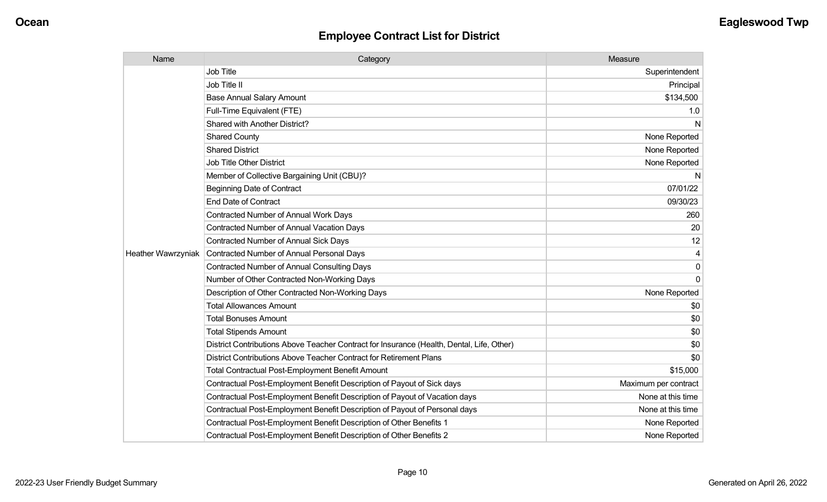| Name               | Category                                                                                  | Measure              |
|--------------------|-------------------------------------------------------------------------------------------|----------------------|
|                    | <b>Job Title</b>                                                                          | Superintendent       |
|                    | Job Title II                                                                              | Principal            |
|                    | <b>Base Annual Salary Amount</b>                                                          | \$134,500            |
|                    | Full-Time Equivalent (FTE)                                                                | 1.0                  |
|                    | Shared with Another District?                                                             | N                    |
|                    | <b>Shared County</b>                                                                      | None Reported        |
|                    | <b>Shared District</b>                                                                    | None Reported        |
|                    | <b>Job Title Other District</b>                                                           | None Reported        |
|                    | Member of Collective Bargaining Unit (CBU)?                                               | N                    |
|                    | <b>Beginning Date of Contract</b>                                                         | 07/01/22             |
|                    | <b>End Date of Contract</b>                                                               | 09/30/23             |
|                    | <b>Contracted Number of Annual Work Days</b>                                              | 260                  |
|                    | <b>Contracted Number of Annual Vacation Days</b>                                          | 20                   |
|                    | <b>Contracted Number of Annual Sick Days</b>                                              | 12                   |
| Heather Wawrzyniak | <b>Contracted Number of Annual Personal Days</b>                                          |                      |
|                    | <b>Contracted Number of Annual Consulting Days</b>                                        | $\mathbf{0}$         |
|                    | Number of Other Contracted Non-Working Days                                               | $\Omega$             |
|                    | Description of Other Contracted Non-Working Days                                          | None Reported        |
|                    | <b>Total Allowances Amount</b>                                                            | \$0                  |
|                    | <b>Total Bonuses Amount</b>                                                               | \$0                  |
|                    | <b>Total Stipends Amount</b>                                                              | \$0                  |
|                    | District Contributions Above Teacher Contract for Insurance (Health, Dental, Life, Other) | \$0                  |
|                    | District Contributions Above Teacher Contract for Retirement Plans                        | \$0                  |
|                    | <b>Total Contractual Post-Employment Benefit Amount</b>                                   | \$15,000             |
|                    | Contractual Post-Employment Benefit Description of Payout of Sick days                    | Maximum per contract |
|                    | Contractual Post-Employment Benefit Description of Payout of Vacation days                | None at this time    |
|                    | Contractual Post-Employment Benefit Description of Payout of Personal days                | None at this time    |
|                    | Contractual Post-Employment Benefit Description of Other Benefits 1                       | None Reported        |
|                    | Contractual Post-Employment Benefit Description of Other Benefits 2                       | None Reported        |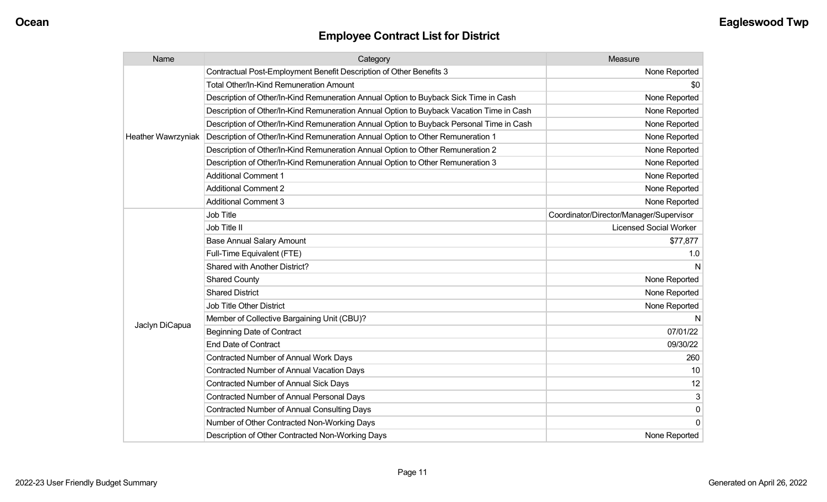| Name                      | Category                                                                                 | Measure                                 |
|---------------------------|------------------------------------------------------------------------------------------|-----------------------------------------|
|                           | Contractual Post-Employment Benefit Description of Other Benefits 3                      | None Reported                           |
|                           | <b>Total Other/In-Kind Remuneration Amount</b>                                           | \$0                                     |
|                           | Description of Other/In-Kind Remuneration Annual Option to Buyback Sick Time in Cash     | None Reported                           |
|                           | Description of Other/In-Kind Remuneration Annual Option to Buyback Vacation Time in Cash | None Reported                           |
|                           | Description of Other/In-Kind Remuneration Annual Option to Buyback Personal Time in Cash | None Reported                           |
| <b>Heather Wawrzyniak</b> | Description of Other/In-Kind Remuneration Annual Option to Other Remuneration 1          | None Reported                           |
|                           | Description of Other/In-Kind Remuneration Annual Option to Other Remuneration 2          | None Reported                           |
|                           | Description of Other/In-Kind Remuneration Annual Option to Other Remuneration 3          | None Reported                           |
|                           | <b>Additional Comment 1</b>                                                              | None Reported                           |
|                           | <b>Additional Comment 2</b>                                                              | None Reported                           |
|                           | <b>Additional Comment 3</b>                                                              | None Reported                           |
|                           | Job Title                                                                                | Coordinator/Director/Manager/Supervisor |
|                           | Job Title II                                                                             | <b>Licensed Social Worker</b>           |
|                           | <b>Base Annual Salary Amount</b>                                                         | \$77,877                                |
|                           | Full-Time Equivalent (FTE)                                                               | 1.0                                     |
|                           | Shared with Another District?                                                            | N                                       |
|                           | <b>Shared County</b>                                                                     | None Reported                           |
|                           | <b>Shared District</b>                                                                   | None Reported                           |
|                           | <b>Job Title Other District</b>                                                          | None Reported                           |
|                           | Member of Collective Bargaining Unit (CBU)?                                              | N                                       |
| Jaclyn DiCapua            | <b>Beginning Date of Contract</b>                                                        | 07/01/22                                |
|                           | <b>End Date of Contract</b>                                                              | 09/30/22                                |
|                           | <b>Contracted Number of Annual Work Days</b>                                             | 260                                     |
|                           | Contracted Number of Annual Vacation Days                                                | 10                                      |
|                           | <b>Contracted Number of Annual Sick Days</b>                                             | 12                                      |
|                           | Contracted Number of Annual Personal Days                                                | 3                                       |
|                           | <b>Contracted Number of Annual Consulting Days</b>                                       | 0                                       |
|                           | Number of Other Contracted Non-Working Days                                              | $\overline{0}$                          |
|                           | Description of Other Contracted Non-Working Days                                         | None Reported                           |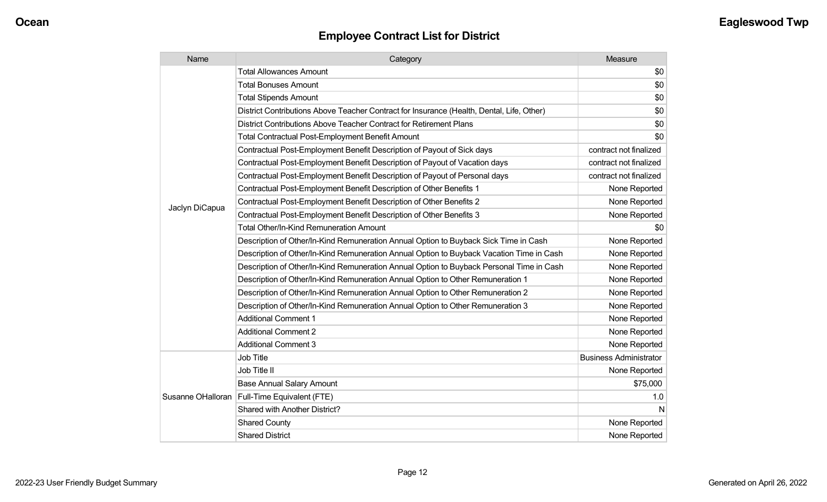| Name           | Category                                                                                  | Measure                       |
|----------------|-------------------------------------------------------------------------------------------|-------------------------------|
|                | <b>Total Allowances Amount</b>                                                            | \$0                           |
|                | <b>Total Bonuses Amount</b>                                                               | \$0                           |
|                | <b>Total Stipends Amount</b>                                                              | \$0                           |
|                | District Contributions Above Teacher Contract for Insurance (Health, Dental, Life, Other) | \$0                           |
|                | District Contributions Above Teacher Contract for Retirement Plans                        | \$0                           |
|                | <b>Total Contractual Post-Employment Benefit Amount</b>                                   | \$0                           |
|                | Contractual Post-Employment Benefit Description of Payout of Sick days                    | contract not finalized        |
|                | Contractual Post-Employment Benefit Description of Payout of Vacation days                | contract not finalized        |
|                | Contractual Post-Employment Benefit Description of Payout of Personal days                | contract not finalized        |
|                | Contractual Post-Employment Benefit Description of Other Benefits 1                       | None Reported                 |
| Jaclyn DiCapua | Contractual Post-Employment Benefit Description of Other Benefits 2                       | None Reported                 |
|                | Contractual Post-Employment Benefit Description of Other Benefits 3                       | None Reported                 |
|                | Total Other/In-Kind Remuneration Amount                                                   | \$0                           |
|                | Description of Other/In-Kind Remuneration Annual Option to Buyback Sick Time in Cash      | None Reported                 |
|                | Description of Other/In-Kind Remuneration Annual Option to Buyback Vacation Time in Cash  | None Reported                 |
|                | Description of Other/In-Kind Remuneration Annual Option to Buyback Personal Time in Cash  | None Reported                 |
|                | Description of Other/In-Kind Remuneration Annual Option to Other Remuneration 1           | None Reported                 |
|                | Description of Other/In-Kind Remuneration Annual Option to Other Remuneration 2           | None Reported                 |
|                | Description of Other/In-Kind Remuneration Annual Option to Other Remuneration 3           | None Reported                 |
|                | <b>Additional Comment 1</b>                                                               | None Reported                 |
|                | <b>Additional Comment 2</b>                                                               | None Reported                 |
|                | <b>Additional Comment 3</b>                                                               | None Reported                 |
|                | Job Title                                                                                 | <b>Business Administrator</b> |
|                | Job Title II                                                                              | None Reported                 |
|                | <b>Base Annual Salary Amount</b>                                                          | \$75,000                      |
|                | Susanne OHalloran   Full-Time Equivalent (FTE)                                            | 1.0                           |
|                | Shared with Another District?                                                             | N                             |
|                | <b>Shared County</b>                                                                      | None Reported                 |
|                | <b>Shared District</b>                                                                    | None Reported                 |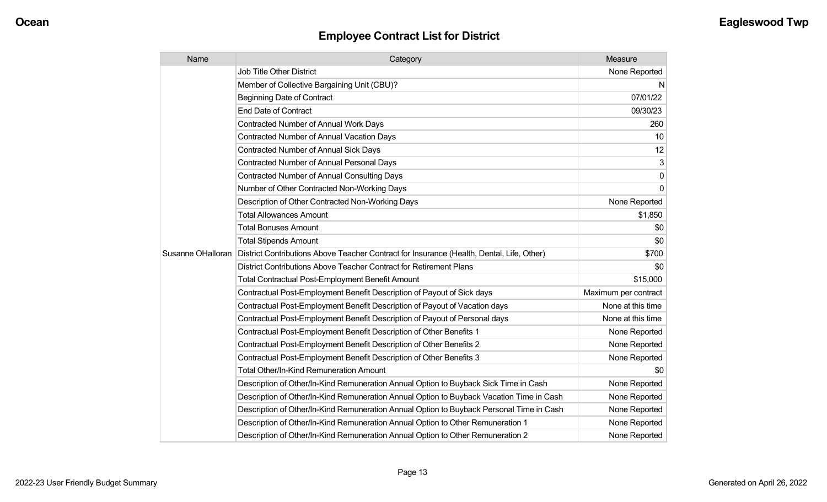| Name              | Category                                                                                  | Measure              |
|-------------------|-------------------------------------------------------------------------------------------|----------------------|
| Susanne OHalloran | <b>Job Title Other District</b>                                                           | None Reported        |
|                   | Member of Collective Bargaining Unit (CBU)?                                               | N                    |
|                   | <b>Beginning Date of Contract</b>                                                         | 07/01/22             |
|                   | <b>End Date of Contract</b>                                                               | 09/30/23             |
|                   | <b>Contracted Number of Annual Work Days</b>                                              | 260                  |
|                   | <b>Contracted Number of Annual Vacation Days</b>                                          | 10                   |
|                   | Contracted Number of Annual Sick Days                                                     | 12                   |
|                   | <b>Contracted Number of Annual Personal Days</b>                                          | 3                    |
|                   | <b>Contracted Number of Annual Consulting Days</b>                                        | $\mathbf{0}$         |
|                   | Number of Other Contracted Non-Working Days                                               | $\Omega$             |
|                   | Description of Other Contracted Non-Working Days                                          | None Reported        |
|                   | <b>Total Allowances Amount</b>                                                            | \$1,850              |
|                   | <b>Total Bonuses Amount</b>                                                               | \$0                  |
|                   | <b>Total Stipends Amount</b>                                                              | \$0                  |
|                   | District Contributions Above Teacher Contract for Insurance (Health, Dental, Life, Other) | \$700                |
|                   | District Contributions Above Teacher Contract for Retirement Plans                        | \$0                  |
|                   | <b>Total Contractual Post-Employment Benefit Amount</b>                                   | \$15,000             |
|                   | Contractual Post-Employment Benefit Description of Payout of Sick days                    | Maximum per contract |
|                   | Contractual Post-Employment Benefit Description of Payout of Vacation days                | None at this time    |
|                   | Contractual Post-Employment Benefit Description of Payout of Personal days                | None at this time    |
|                   | Contractual Post-Employment Benefit Description of Other Benefits 1                       | None Reported        |
|                   | Contractual Post-Employment Benefit Description of Other Benefits 2                       | None Reported        |
|                   | Contractual Post-Employment Benefit Description of Other Benefits 3                       | None Reported        |
|                   | <b>Total Other/In-Kind Remuneration Amount</b>                                            | \$0                  |
|                   | Description of Other/In-Kind Remuneration Annual Option to Buyback Sick Time in Cash      | None Reported        |
|                   | Description of Other/In-Kind Remuneration Annual Option to Buyback Vacation Time in Cash  | None Reported        |
|                   | Description of Other/In-Kind Remuneration Annual Option to Buyback Personal Time in Cash  | None Reported        |
|                   | Description of Other/In-Kind Remuneration Annual Option to Other Remuneration 1           | None Reported        |
|                   | Description of Other/In-Kind Remuneration Annual Option to Other Remuneration 2           | None Reported        |